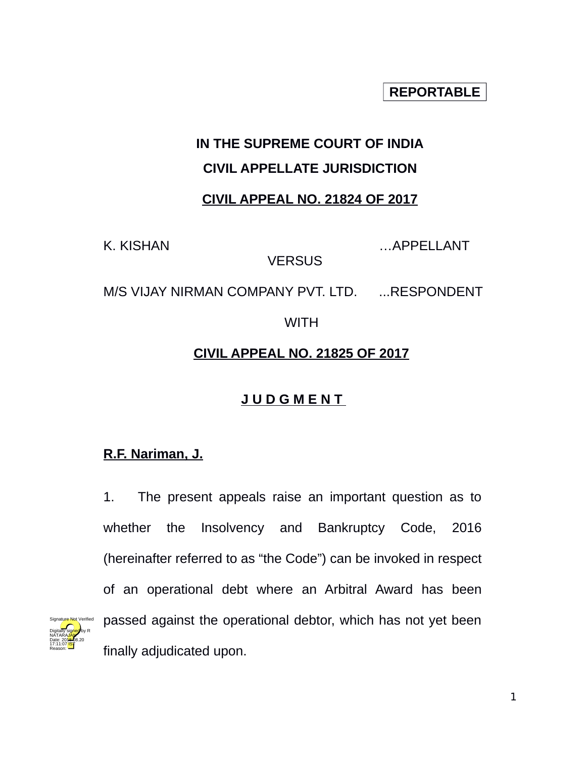**REPORTABLE**

# **IN THE SUPREME COURT OF INDIA**

#### **CIVIL APPELLATE JURISDICTION**

### **CIVIL APPEAL NO. 21824 OF 2017**

K. KISHAN …APPELLANT

**VERSUS** 

M/S VIJAY NIRMAN COMPANY PVT. LTD. ... RESPONDENT

**WITH** 

### **CIVIL APPEAL NO. 21825 OF 2017**

## **J U D G M E N T**

### **R.F. Nariman, J.**

Digitally signed by R NATARA<mark>JAN</mark> Date: 2018.08.20 17:11:07<sup>1S</sup>T Reason:

Signature Not Verified

1. The present appeals raise an important question as to whether the Insolvency and Bankruptcy Code, 2016 (hereinafter referred to as "the Code") can be invoked in respect of an operational debt where an Arbitral Award has been passed against the operational debtor, which has not yet been finally adjudicated upon.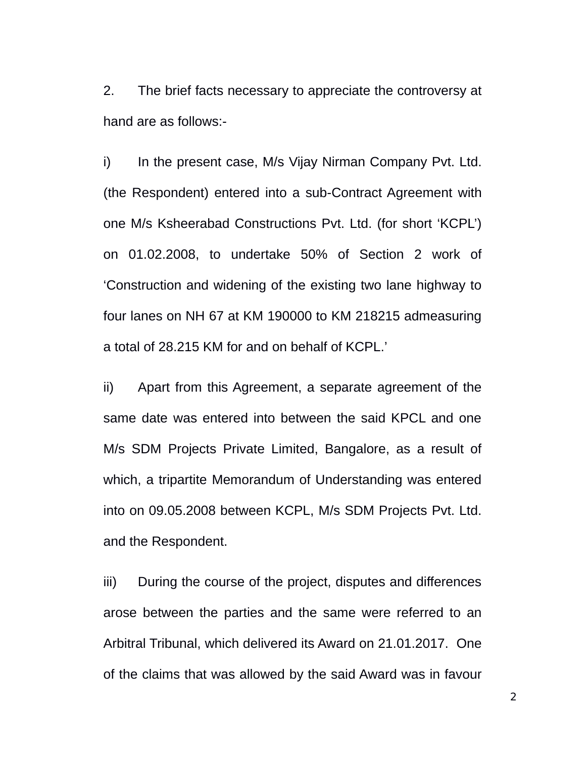2. The brief facts necessary to appreciate the controversy at hand are as follows:-

i) In the present case, M/s Vijay Nirman Company Pvt. Ltd. (the Respondent) entered into a sub-Contract Agreement with one M/s Ksheerabad Constructions Pvt. Ltd. (for short 'KCPL') on 01.02.2008, to undertake 50% of Section 2 work of 'Construction and widening of the existing two lane highway to four lanes on NH 67 at KM 190000 to KM 218215 admeasuring a total of 28.215 KM for and on behalf of KCPL.'

ii) Apart from this Agreement, a separate agreement of the same date was entered into between the said KPCL and one M/s SDM Projects Private Limited, Bangalore, as a result of which, a tripartite Memorandum of Understanding was entered into on 09.05.2008 between KCPL, M/s SDM Projects Pvt. Ltd. and the Respondent.

iii) During the course of the project, disputes and differences arose between the parties and the same were referred to an Arbitral Tribunal, which delivered its Award on 21.01.2017. One of the claims that was allowed by the said Award was in favour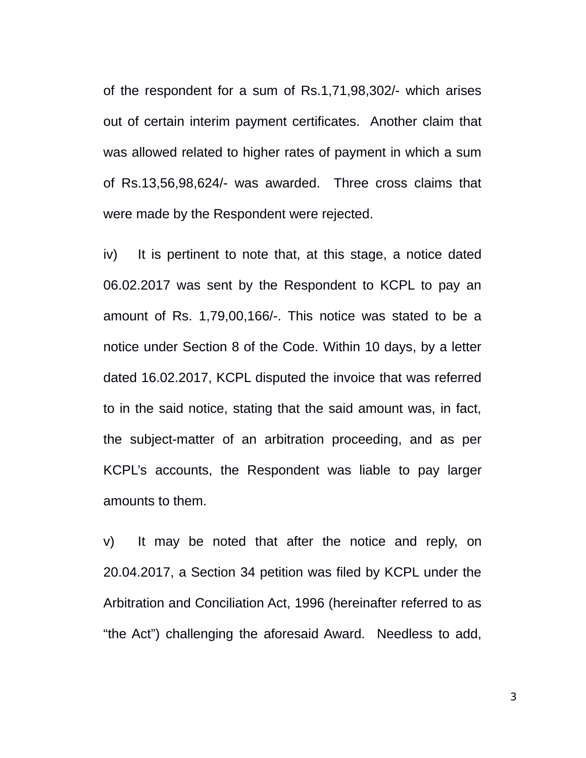of the respondent for a sum of Rs.1,71,98,302/- which arises out of certain interim payment certificates. Another claim that was allowed related to higher rates of payment in which a sum of Rs.13,56,98,624/- was awarded. Three cross claims that were made by the Respondent were rejected.

iv) It is pertinent to note that, at this stage, a notice dated 06.02.2017 was sent by the Respondent to KCPL to pay an amount of Rs. 1,79,00,166/-. This notice was stated to be a notice under Section 8 of the Code. Within 10 days, by a letter dated 16.02.2017, KCPL disputed the invoice that was referred to in the said notice, stating that the said amount was, in fact, the subject-matter of an arbitration proceeding, and as per KCPL's accounts, the Respondent was liable to pay larger amounts to them.

v) It may be noted that after the notice and reply, on 20.04.2017, a Section 34 petition was filed by KCPL under the Arbitration and Conciliation Act, 1996 (hereinafter referred to as "the Act") challenging the aforesaid Award. Needless to add,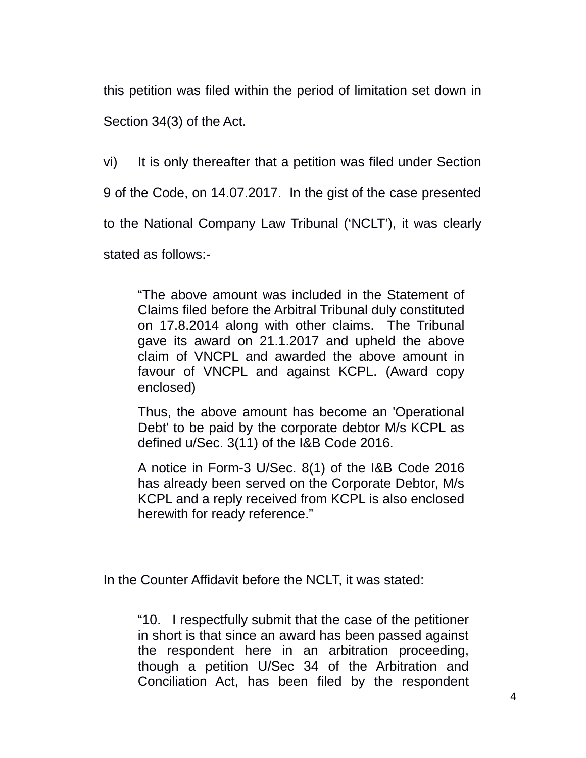this petition was filed within the period of limitation set down in Section 34(3) of the Act.

vi) It is only thereafter that a petition was filed under Section

9 of the Code, on 14.07.2017. In the gist of the case presented

to the National Company Law Tribunal ('NCLT'), it was clearly

stated as follows:-

"The above amount was included in the Statement of Claims filed before the Arbitral Tribunal duly constituted on 17.8.2014 along with other claims. The Tribunal gave its award on 21.1.2017 and upheld the above claim of VNCPL and awarded the above amount in favour of VNCPL and against KCPL. (Award copy enclosed)

Thus, the above amount has become an 'Operational Debt' to be paid by the corporate debtor M/s KCPL as defined u/Sec. 3(11) of the I&B Code 2016.

A notice in Form-3 U/Sec. 8(1) of the I&B Code 2016 has already been served on the Corporate Debtor, M/s KCPL and a reply received from KCPL is also enclosed herewith for ready reference."

In the Counter Affidavit before the NCLT, it was stated:

"10. I respectfully submit that the case of the petitioner in short is that since an award has been passed against the respondent here in an arbitration proceeding, though a petition U/Sec 34 of the Arbitration and Conciliation Act, has been filed by the respondent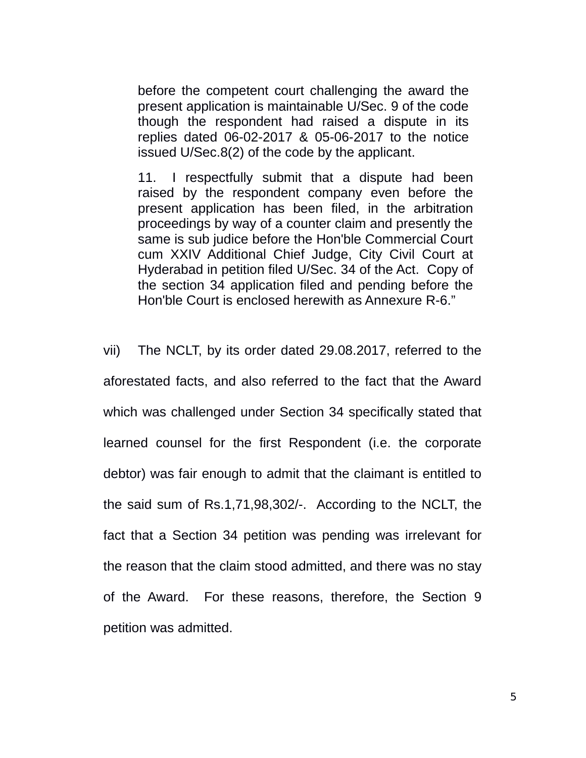before the competent court challenging the award the present application is maintainable U/Sec. 9 of the code though the respondent had raised a dispute in its replies dated 06-02-2017 & 05-06-2017 to the notice issued U/Sec.8(2) of the code by the applicant.

11. I respectfully submit that a dispute had been raised by the respondent company even before the present application has been filed, in the arbitration proceedings by way of a counter claim and presently the same is sub judice before the Hon'ble Commercial Court cum XXIV Additional Chief Judge, City Civil Court at Hyderabad in petition filed U/Sec. 34 of the Act. Copy of the section 34 application filed and pending before the Hon'ble Court is enclosed herewith as Annexure R-6."

vii) The NCLT, by its order dated 29.08.2017, referred to the aforestated facts, and also referred to the fact that the Award which was challenged under Section 34 specifically stated that learned counsel for the first Respondent (i.e. the corporate debtor) was fair enough to admit that the claimant is entitled to the said sum of Rs.1,71,98,302/-. According to the NCLT, the fact that a Section 34 petition was pending was irrelevant for the reason that the claim stood admitted, and there was no stay of the Award. For these reasons, therefore, the Section 9 petition was admitted.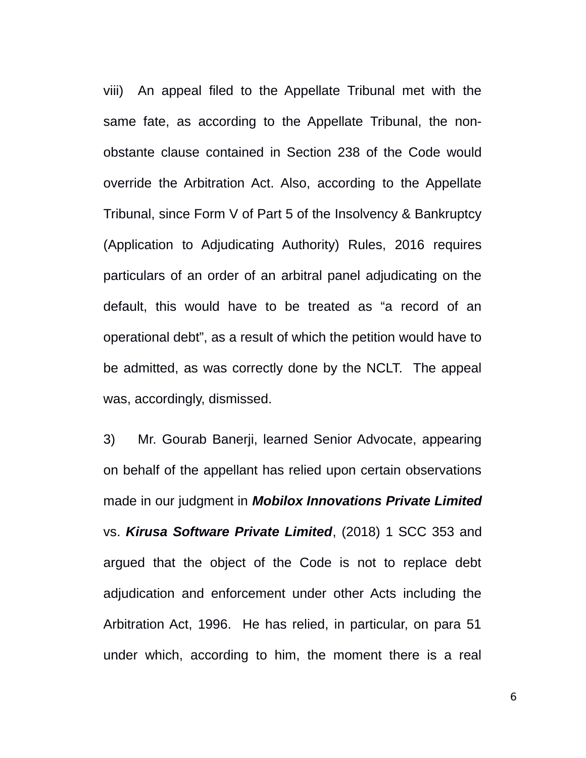viii) An appeal filed to the Appellate Tribunal met with the same fate, as according to the Appellate Tribunal, the nonobstante clause contained in Section 238 of the Code would override the Arbitration Act. Also, according to the Appellate Tribunal, since Form V of Part 5 of the Insolvency & Bankruptcy (Application to Adjudicating Authority) Rules, 2016 requires particulars of an order of an arbitral panel adjudicating on the default, this would have to be treated as "a record of an operational debt", as a result of which the petition would have to be admitted, as was correctly done by the NCLT. The appeal was, accordingly, dismissed.

3) Mr. Gourab Banerji, learned Senior Advocate, appearing on behalf of the appellant has relied upon certain observations made in our judgment in *Mobilox Innovations Private Limited* vs. *Kirusa Software Private Limited*, (2018) 1 SCC 353 and argued that the object of the Code is not to replace debt adjudication and enforcement under other Acts including the Arbitration Act, 1996. He has relied, in particular, on para 51 under which, according to him, the moment there is a real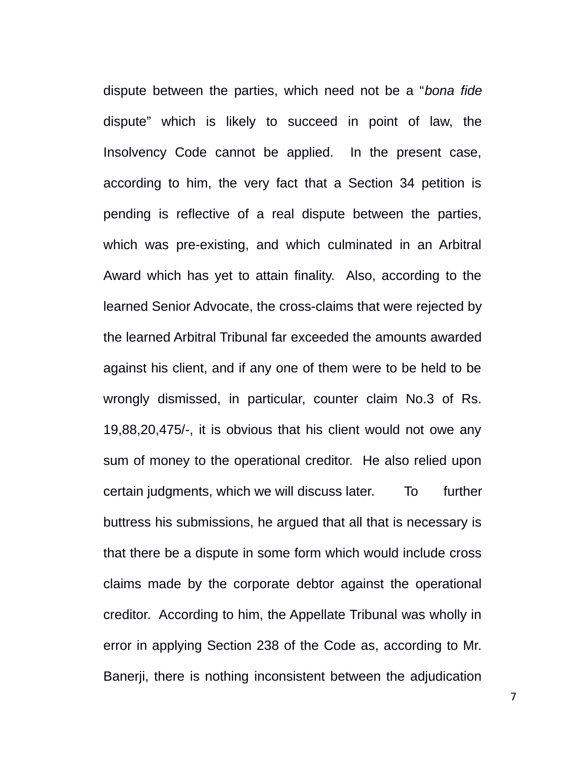dispute between the parties, which need not be a "*bona fide* dispute" which is likely to succeed in point of law, the Insolvency Code cannot be applied. In the present case, according to him, the very fact that a Section 34 petition is pending is reflective of a real dispute between the parties, which was pre-existing, and which culminated in an Arbitral Award which has yet to attain finality. Also, according to the learned Senior Advocate, the cross-claims that were rejected by the learned Arbitral Tribunal far exceeded the amounts awarded against his client, and if any one of them were to be held to be wrongly dismissed, in particular, counter claim No.3 of Rs. 19,88,20,475/-, it is obvious that his client would not owe any sum of money to the operational creditor. He also relied upon certain judgments, which we will discuss later. To further buttress his submissions, he argued that all that is necessary is that there be a dispute in some form which would include cross claims made by the corporate debtor against the operational creditor. According to him, the Appellate Tribunal was wholly in error in applying Section 238 of the Code as, according to Mr. Banerji, there is nothing inconsistent between the adjudication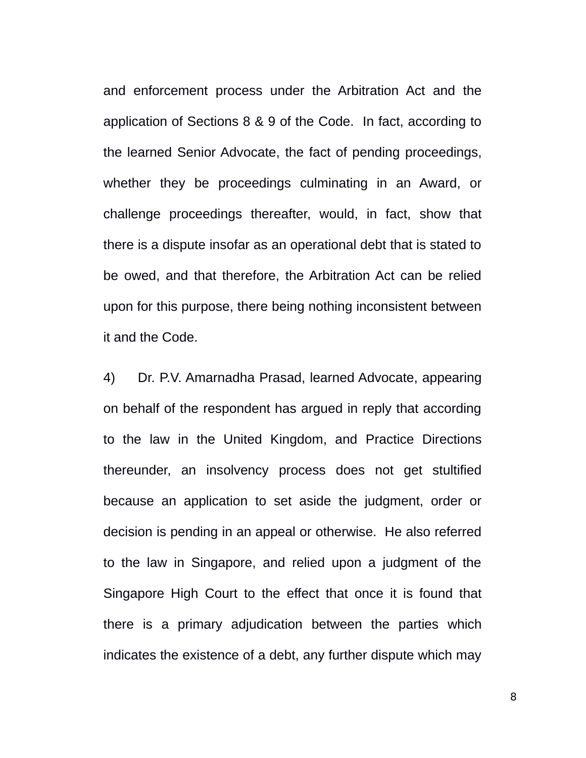and enforcement process under the Arbitration Act and the application of Sections 8 & 9 of the Code. In fact, according to the learned Senior Advocate, the fact of pending proceedings, whether they be proceedings culminating in an Award, or challenge proceedings thereafter, would, in fact, show that there is a dispute insofar as an operational debt that is stated to be owed, and that therefore, the Arbitration Act can be relied upon for this purpose, there being nothing inconsistent between it and the Code.

4) Dr. P.V. Amarnadha Prasad, learned Advocate, appearing on behalf of the respondent has argued in reply that according to the law in the United Kingdom, and Practice Directions thereunder, an insolvency process does not get stultified because an application to set aside the judgment, order or decision is pending in an appeal or otherwise. He also referred to the law in Singapore, and relied upon a judgment of the Singapore High Court to the effect that once it is found that there is a primary adjudication between the parties which indicates the existence of a debt, any further dispute which may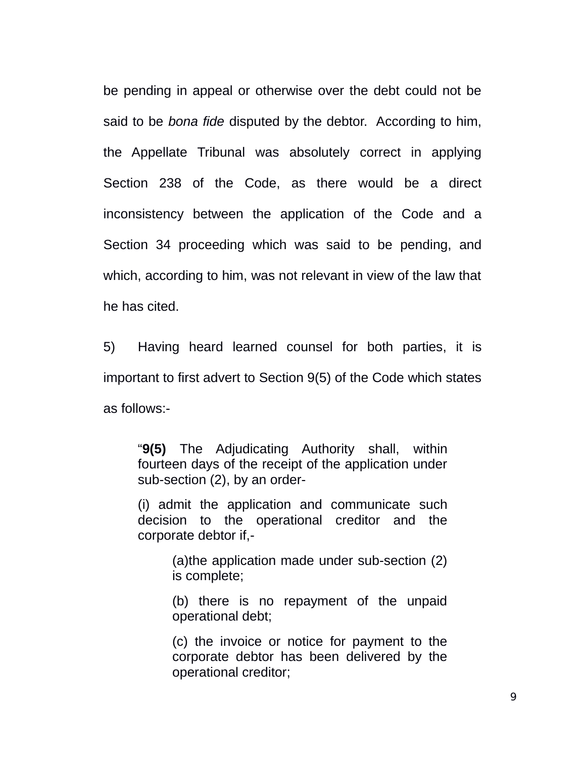be pending in appeal or otherwise over the debt could not be said to be *bona fide* disputed by the debtor. According to him, the Appellate Tribunal was absolutely correct in applying Section 238 of the Code, as there would be a direct inconsistency between the application of the Code and a Section 34 proceeding which was said to be pending, and which, according to him, was not relevant in view of the law that he has cited.

5) Having heard learned counsel for both parties, it is important to first advert to Section 9(5) of the Code which states as follows:-

"**9(5)** The Adjudicating Authority shall, within fourteen days of the receipt of the application under sub-section (2), by an order-

(i) admit the application and communicate such decision to the operational creditor and the corporate debtor if,-

> (a)the application made under sub-section (2) is complete;

> (b) there is no repayment of the unpaid operational debt;

> (c) the invoice or notice for payment to the corporate debtor has been delivered by the operational creditor;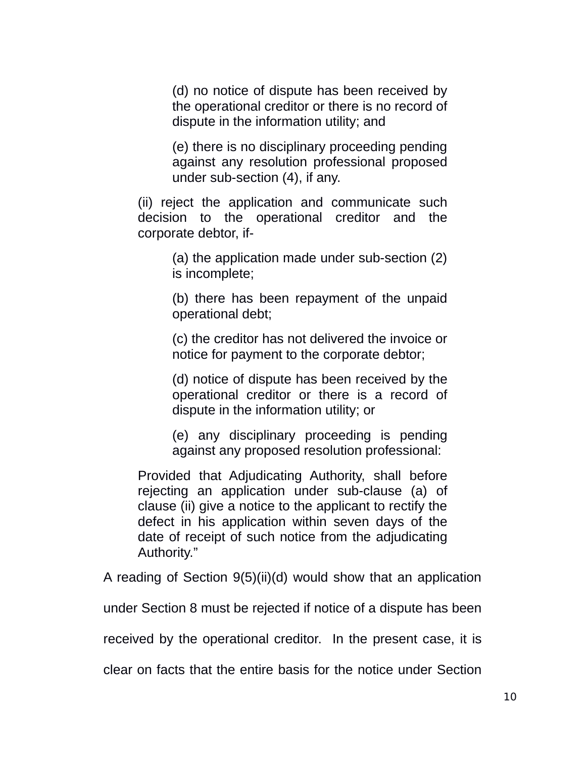(d) no notice of dispute has been received by the operational creditor or there is no record of dispute in the information utility; and

(e) there is no disciplinary proceeding pending against any resolution professional proposed under sub-section (4), if any.

(ii) reject the application and communicate such decision to the operational creditor and the corporate debtor, if-

> (a) the application made under sub-section (2) is incomplete;

> (b) there has been repayment of the unpaid operational debt;

> (c) the creditor has not delivered the invoice or notice for payment to the corporate debtor;

> (d) notice of dispute has been received by the operational creditor or there is a record of dispute in the information utility; or

> (e) any disciplinary proceeding is pending against any proposed resolution professional:

Provided that Adjudicating Authority, shall before rejecting an application under sub-clause (a) of clause (ii) give a notice to the applicant to rectify the defect in his application within seven days of the date of receipt of such notice from the adjudicating Authority."

A reading of Section 9(5)(ii)(d) would show that an application

under Section 8 must be rejected if notice of a dispute has been

received by the operational creditor. In the present case, it is

clear on facts that the entire basis for the notice under Section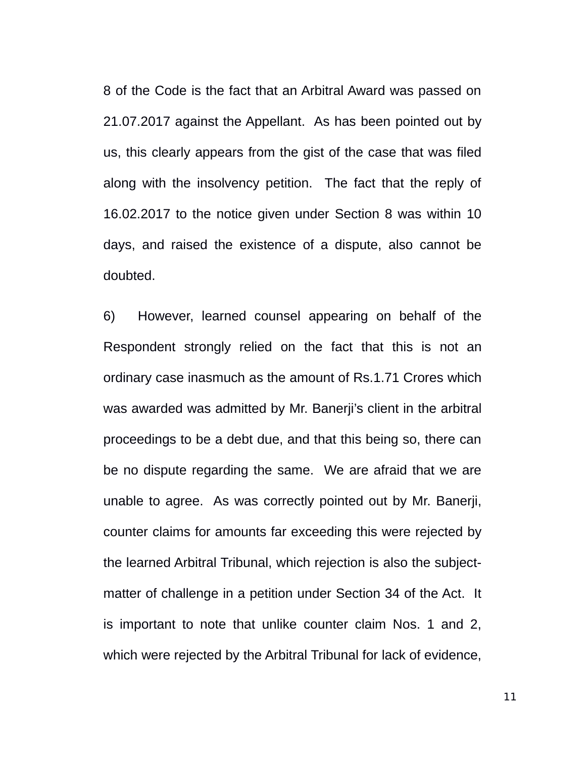8 of the Code is the fact that an Arbitral Award was passed on 21.07.2017 against the Appellant. As has been pointed out by us, this clearly appears from the gist of the case that was filed along with the insolvency petition. The fact that the reply of 16.02.2017 to the notice given under Section 8 was within 10 days, and raised the existence of a dispute, also cannot be doubted.

6) However, learned counsel appearing on behalf of the Respondent strongly relied on the fact that this is not an ordinary case inasmuch as the amount of Rs.1.71 Crores which was awarded was admitted by Mr. Banerji's client in the arbitral proceedings to be a debt due, and that this being so, there can be no dispute regarding the same. We are afraid that we are unable to agree. As was correctly pointed out by Mr. Banerji, counter claims for amounts far exceeding this were rejected by the learned Arbitral Tribunal, which rejection is also the subjectmatter of challenge in a petition under Section 34 of the Act. It is important to note that unlike counter claim Nos. 1 and 2, which were rejected by the Arbitral Tribunal for lack of evidence,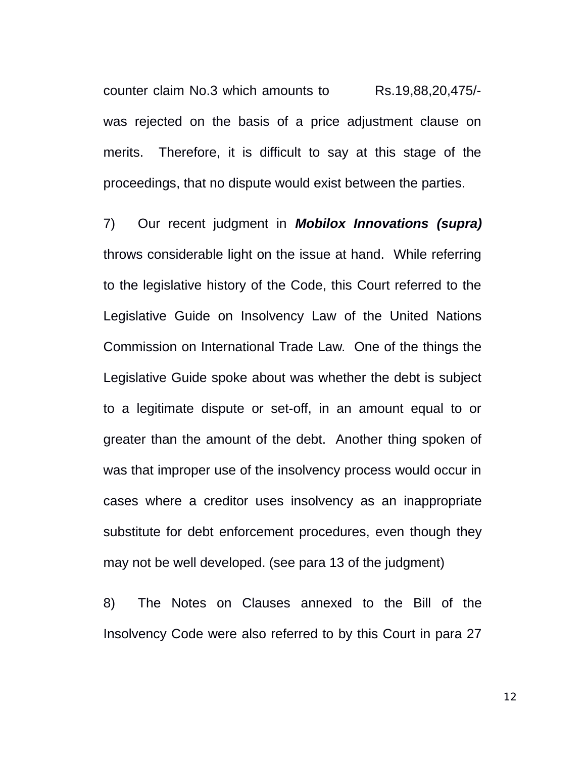counter claim No.3 which amounts to Rs.19,88,20,475/ was rejected on the basis of a price adjustment clause on merits. Therefore, it is difficult to say at this stage of the proceedings, that no dispute would exist between the parties.

7) Our recent judgment in *Mobilox Innovations (supra)* throws considerable light on the issue at hand. While referring to the legislative history of the Code, this Court referred to the Legislative Guide on Insolvency Law of the United Nations Commission on International Trade Law. One of the things the Legislative Guide spoke about was whether the debt is subject to a legitimate dispute or set-off, in an amount equal to or greater than the amount of the debt. Another thing spoken of was that improper use of the insolvency process would occur in cases where a creditor uses insolvency as an inappropriate substitute for debt enforcement procedures, even though they may not be well developed. (see para 13 of the judgment)

8) The Notes on Clauses annexed to the Bill of the Insolvency Code were also referred to by this Court in para 27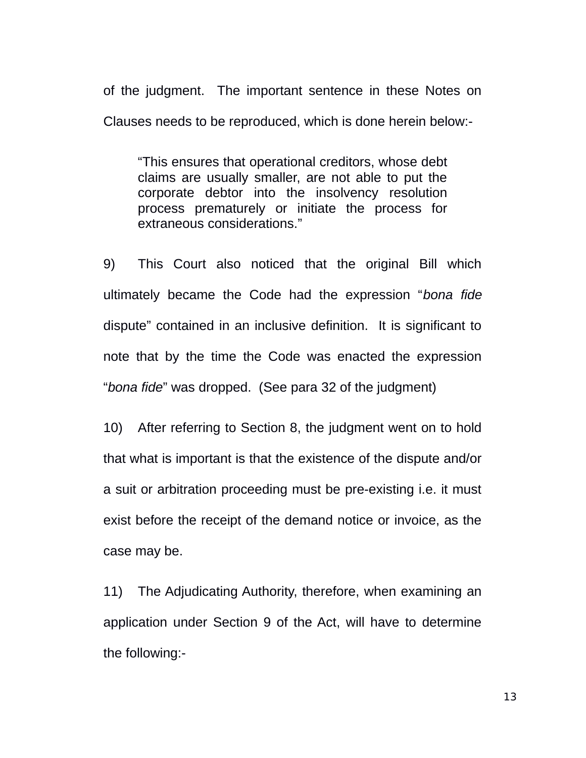of the judgment. The important sentence in these Notes on Clauses needs to be reproduced, which is done herein below:-

"This ensures that operational creditors, whose debt claims are usually smaller, are not able to put the corporate debtor into the insolvency resolution process prematurely or initiate the process for extraneous considerations."

9) This Court also noticed that the original Bill which ultimately became the Code had the expression "*bona fide* dispute" contained in an inclusive definition. It is significant to note that by the time the Code was enacted the expression "*bona fide*" was dropped. (See para 32 of the judgment)

10) After referring to Section 8, the judgment went on to hold that what is important is that the existence of the dispute and/or a suit or arbitration proceeding must be pre-existing i.e. it must exist before the receipt of the demand notice or invoice, as the case may be.

11) The Adjudicating Authority, therefore, when examining an application under Section 9 of the Act, will have to determine the following:-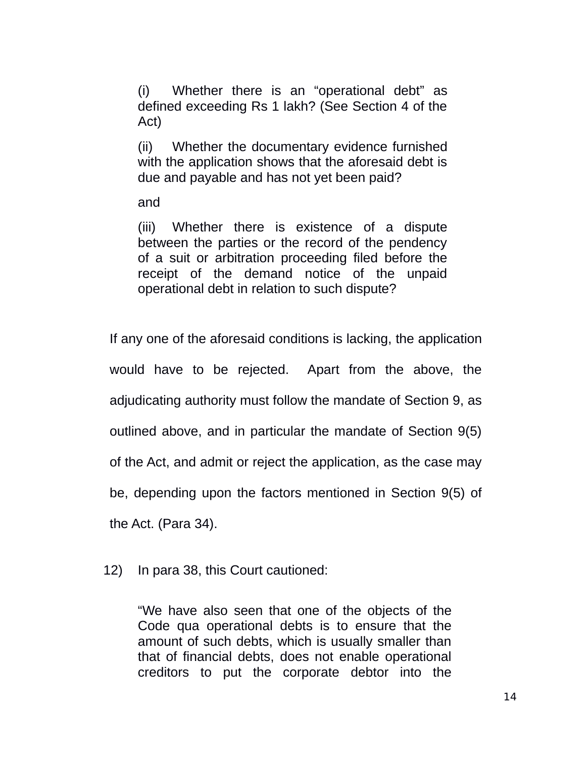(i) Whether there is an "operational debt" as defined exceeding Rs 1 lakh? (See Section 4 of the Act)

(ii) Whether the documentary evidence furnished with the application shows that the aforesaid debt is due and payable and has not yet been paid?

and

(iii) Whether there is existence of a dispute between the parties or the record of the pendency of a suit or arbitration proceeding filed before the receipt of the demand notice of the unpaid operational debt in relation to such dispute?

If any one of the aforesaid conditions is lacking, the application would have to be rejected. Apart from the above, the adjudicating authority must follow the mandate of Section 9, as outlined above, and in particular the mandate of Section 9(5) of the Act, and admit or reject the application, as the case may be, depending upon the factors mentioned in Section 9(5) of the Act. (Para 34).

12) In para 38, this Court cautioned:

"We have also seen that one of the objects of the Code qua operational debts is to ensure that the amount of such debts, which is usually smaller than that of financial debts, does not enable operational creditors to put the corporate debtor into the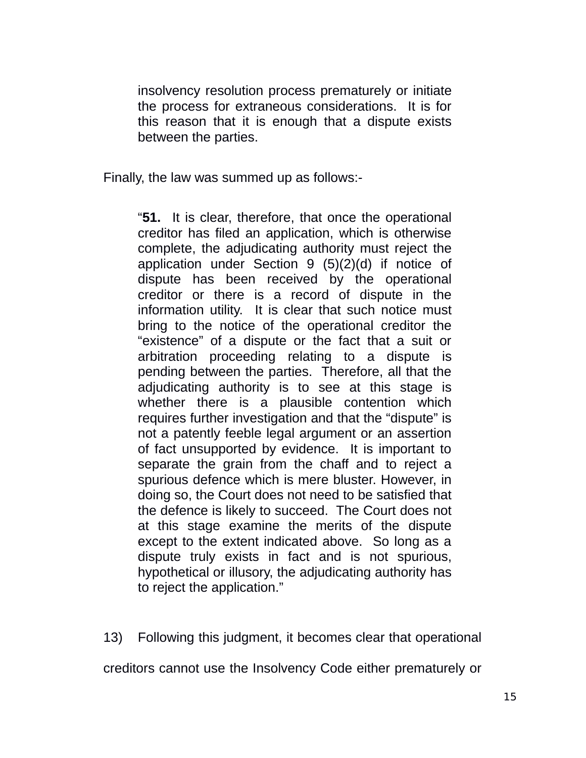insolvency resolution process prematurely or initiate the process for extraneous considerations. It is for this reason that it is enough that a dispute exists between the parties.

Finally, the law was summed up as follows:-

"**51.** It is clear, therefore, that once the operational creditor has filed an application, which is otherwise complete, the adjudicating authority must reject the application under Section 9 (5)(2)(d) if notice of dispute has been received by the operational creditor or there is a record of dispute in the information utility. It is clear that such notice must bring to the notice of the operational creditor the "existence" of a dispute or the fact that a suit or arbitration proceeding relating to a dispute is pending between the parties. Therefore, all that the adjudicating authority is to see at this stage is whether there is a plausible contention which requires further investigation and that the "dispute" is not a patently feeble legal argument or an assertion of fact unsupported by evidence. It is important to separate the grain from the chaff and to reject a spurious defence which is mere bluster. However, in doing so, the Court does not need to be satisfied that the defence is likely to succeed. The Court does not at this stage examine the merits of the dispute except to the extent indicated above. So long as a dispute truly exists in fact and is not spurious, hypothetical or illusory, the adjudicating authority has to reject the application."

13) Following this judgment, it becomes clear that operational

creditors cannot use the Insolvency Code either prematurely or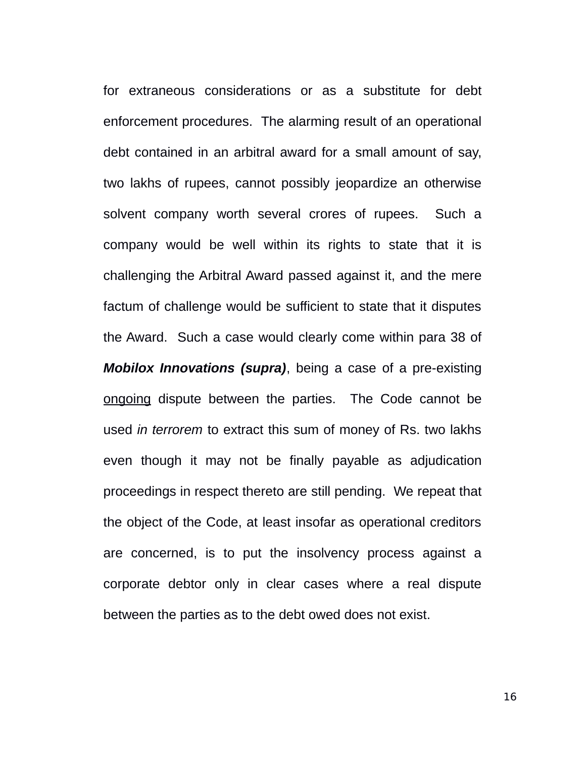for extraneous considerations or as a substitute for debt enforcement procedures. The alarming result of an operational debt contained in an arbitral award for a small amount of say, two lakhs of rupees, cannot possibly jeopardize an otherwise solvent company worth several crores of rupees. Such a company would be well within its rights to state that it is challenging the Arbitral Award passed against it, and the mere factum of challenge would be sufficient to state that it disputes the Award. Such a case would clearly come within para 38 of *Mobilox Innovations (supra)*, being a case of a pre-existing ongoing dispute between the parties. The Code cannot be used *in terrorem* to extract this sum of money of Rs. two lakhs even though it may not be finally payable as adjudication proceedings in respect thereto are still pending. We repeat that the object of the Code, at least insofar as operational creditors are concerned, is to put the insolvency process against a corporate debtor only in clear cases where a real dispute between the parties as to the debt owed does not exist.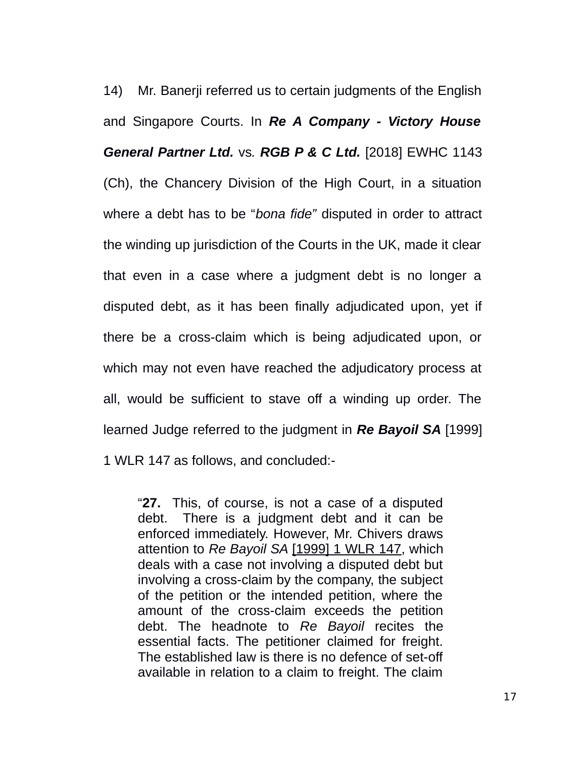14) Mr. Banerji referred us to certain judgments of the English and Singapore Courts. In *Re A Company - Victory House General Partner Ltd.* vs*. RGB P & C Ltd.* [2018] EWHC 1143 (Ch), the Chancery Division of the High Court, in a situation where a debt has to be "*bona fide"* disputed in order to attract the winding up jurisdiction of the Courts in the UK, made it clear that even in a case where a judgment debt is no longer a disputed debt, as it has been finally adjudicated upon, yet if there be a cross-claim which is being adjudicated upon, or which may not even have reached the adjudicatory process at all, would be sufficient to stave off a winding up order. The learned Judge referred to the judgment in *Re Bayoil SA* [1999] 1 WLR 147 as follows, and concluded:-

"**27.** This, of course, is not a case of a disputed debt. There is a judgment debt and it can be enforced immediately. However, Mr. Chivers draws attention to *Re Bayoil SA* [1999] 1 WLR 147, which deals with a case not involving a disputed debt but involving a cross-claim by the company, the subject of the petition or the intended petition, where the amount of the cross-claim exceeds the petition debt. The headnote to *Re Bayoil* recites the essential facts. The petitioner claimed for freight. The established law is there is no defence of set-off available in relation to a claim to freight. The claim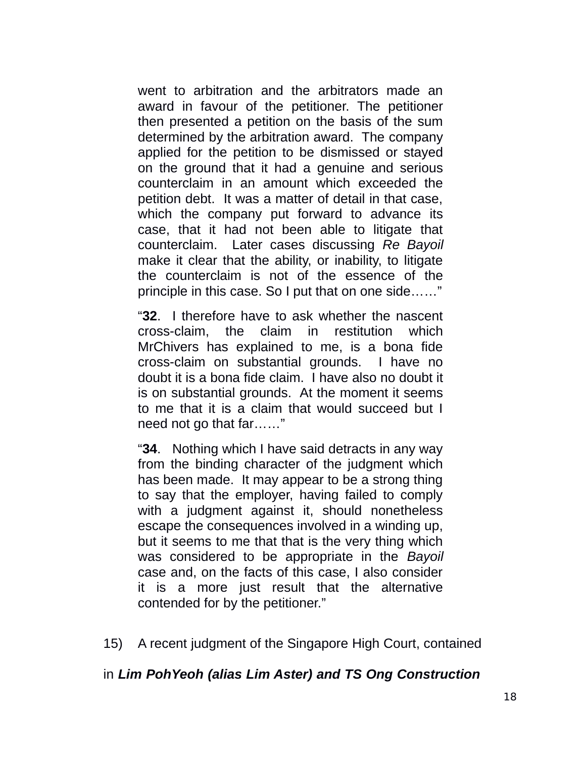went to arbitration and the arbitrators made an award in favour of the petitioner. The petitioner then presented a petition on the basis of the sum determined by the arbitration award. The company applied for the petition to be dismissed or stayed on the ground that it had a genuine and serious counterclaim in an amount which exceeded the petition debt. It was a matter of detail in that case, which the company put forward to advance its case, that it had not been able to litigate that counterclaim. Later cases discussing *Re Bayoil* make it clear that the ability, or inability, to litigate the counterclaim is not of the essence of the principle in this case. So I put that on one side……"

"**32**. I therefore have to ask whether the nascent cross-claim, the claim in restitution which MrChivers has explained to me, is a bona fide cross-claim on substantial grounds. I have no doubt it is a bona fide claim. I have also no doubt it is on substantial grounds. At the moment it seems to me that it is a claim that would succeed but I need not go that far……"

"**34**. Nothing which I have said detracts in any way from the binding character of the judgment which has been made. It may appear to be a strong thing to say that the employer, having failed to comply with a judgment against it, should nonetheless escape the consequences involved in a winding up, but it seems to me that that is the very thing which was considered to be appropriate in the *Bayoil* case and, on the facts of this case, I also consider it is a more just result that the alternative contended for by the petitioner."

15) A recent judgment of the Singapore High Court, contained

#### in *Lim PohYeoh (alias Lim Aster) and TS Ong Construction*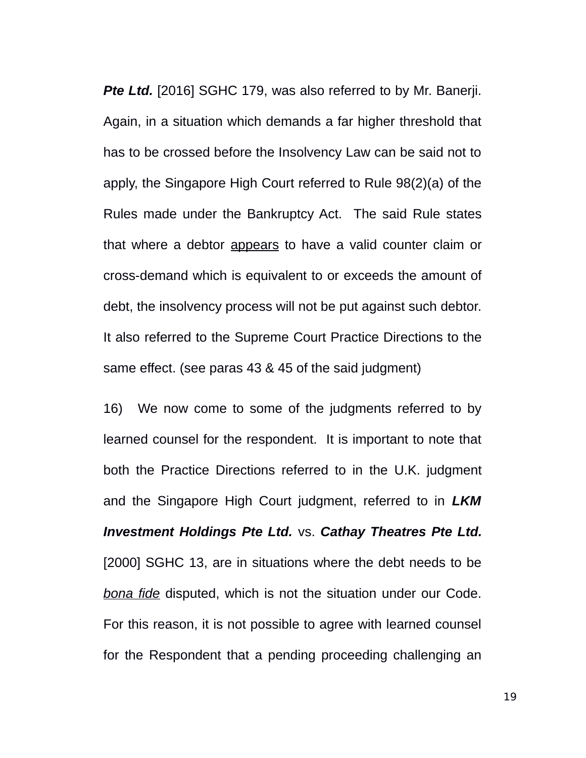**Pte Ltd.** [2016] SGHC 179, was also referred to by Mr. Banerji. Again, in a situation which demands a far higher threshold that has to be crossed before the Insolvency Law can be said not to apply, the Singapore High Court referred to Rule 98(2)(a) of the Rules made under the Bankruptcy Act. The said Rule states that where a debtor appears to have a valid counter claim or cross-demand which is equivalent to or exceeds the amount of debt, the insolvency process will not be put against such debtor. It also referred to the Supreme Court Practice Directions to the same effect. (see paras 43 & 45 of the said judgment)

16) We now come to some of the judgments referred to by learned counsel for the respondent. It is important to note that both the Practice Directions referred to in the U.K. judgment and the Singapore High Court judgment, referred to in *LKM Investment Holdings Pte Ltd.* vs. *Cathay Theatres Pte Ltd.* [2000] SGHC 13, are in situations where the debt needs to be *bona fide* disputed, which is not the situation under our Code. For this reason, it is not possible to agree with learned counsel for the Respondent that a pending proceeding challenging an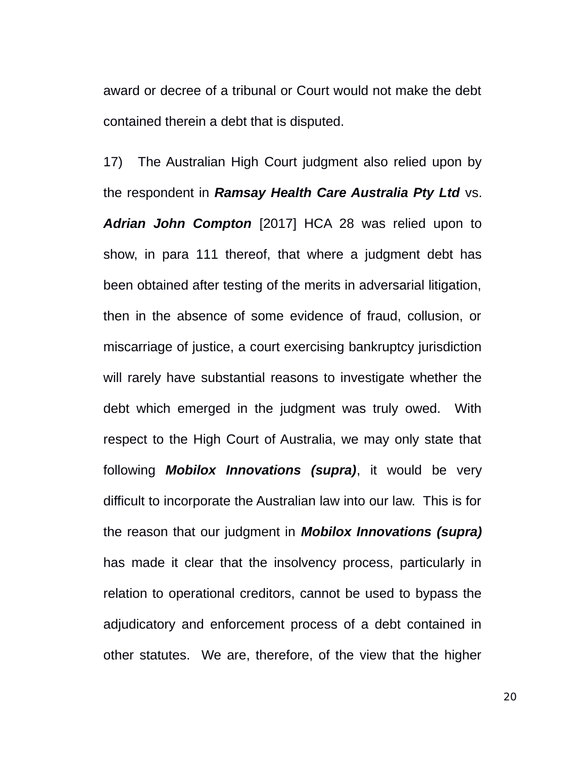award or decree of a tribunal or Court would not make the debt contained therein a debt that is disputed.

17) The Australian High Court judgment also relied upon by the respondent in *Ramsay Health Care Australia Pty Ltd* vs. *Adrian John Compton* [2017] HCA 28 was relied upon to show, in para 111 thereof, that where a judgment debt has been obtained after testing of the merits in adversarial litigation, then in the absence of some evidence of fraud, collusion, or miscarriage of justice, a court exercising bankruptcy jurisdiction will rarely have substantial reasons to investigate whether the debt which emerged in the judgment was truly owed. With respect to the High Court of Australia, we may only state that following *Mobilox Innovations (supra)*, it would be very difficult to incorporate the Australian law into our law. This is for the reason that our judgment in *Mobilox Innovations (supra)* has made it clear that the insolvency process, particularly in relation to operational creditors, cannot be used to bypass the adjudicatory and enforcement process of a debt contained in other statutes. We are, therefore, of the view that the higher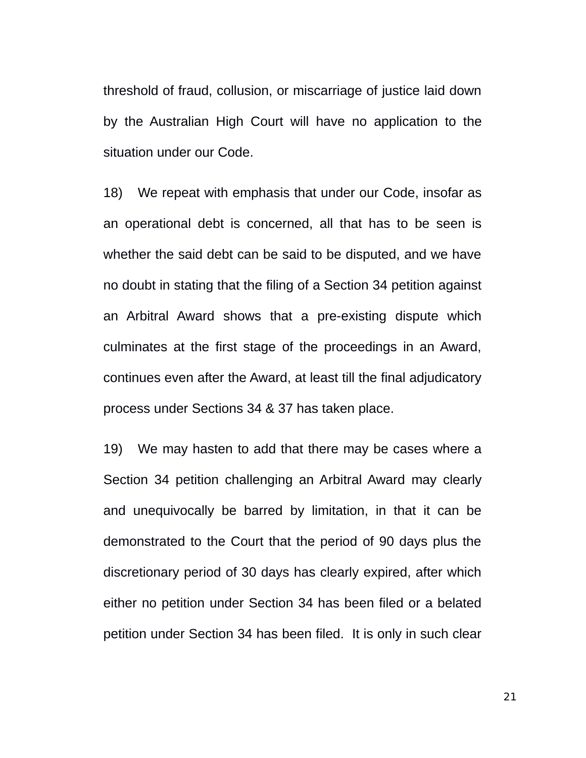threshold of fraud, collusion, or miscarriage of justice laid down by the Australian High Court will have no application to the situation under our Code.

18) We repeat with emphasis that under our Code, insofar as an operational debt is concerned, all that has to be seen is whether the said debt can be said to be disputed, and we have no doubt in stating that the filing of a Section 34 petition against an Arbitral Award shows that a pre-existing dispute which culminates at the first stage of the proceedings in an Award, continues even after the Award, at least till the final adjudicatory process under Sections 34 & 37 has taken place.

19) We may hasten to add that there may be cases where a Section 34 petition challenging an Arbitral Award may clearly and unequivocally be barred by limitation, in that it can be demonstrated to the Court that the period of 90 days plus the discretionary period of 30 days has clearly expired, after which either no petition under Section 34 has been filed or a belated petition under Section 34 has been filed. It is only in such clear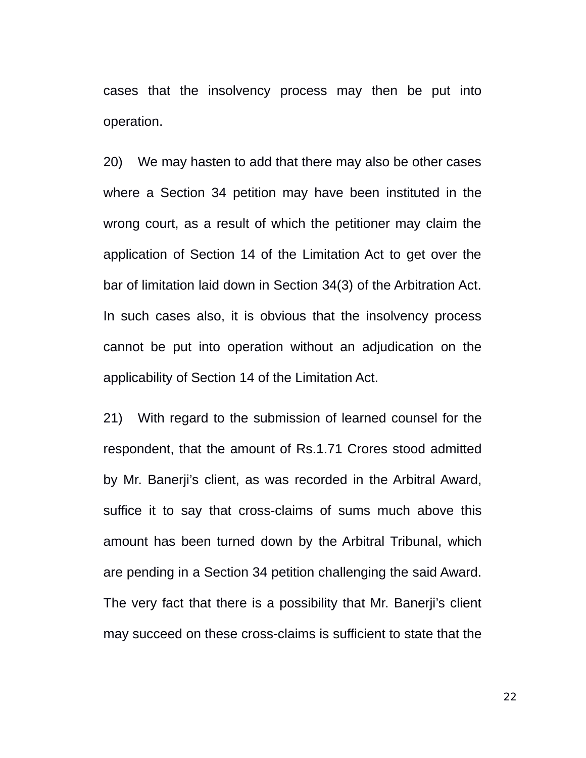cases that the insolvency process may then be put into operation.

20) We may hasten to add that there may also be other cases where a Section 34 petition may have been instituted in the wrong court, as a result of which the petitioner may claim the application of Section 14 of the Limitation Act to get over the bar of limitation laid down in Section 34(3) of the Arbitration Act. In such cases also, it is obvious that the insolvency process cannot be put into operation without an adjudication on the applicability of Section 14 of the Limitation Act.

21) With regard to the submission of learned counsel for the respondent, that the amount of Rs.1.71 Crores stood admitted by Mr. Banerji's client, as was recorded in the Arbitral Award, suffice it to say that cross-claims of sums much above this amount has been turned down by the Arbitral Tribunal, which are pending in a Section 34 petition challenging the said Award. The very fact that there is a possibility that Mr. Banerji's client may succeed on these cross-claims is sufficient to state that the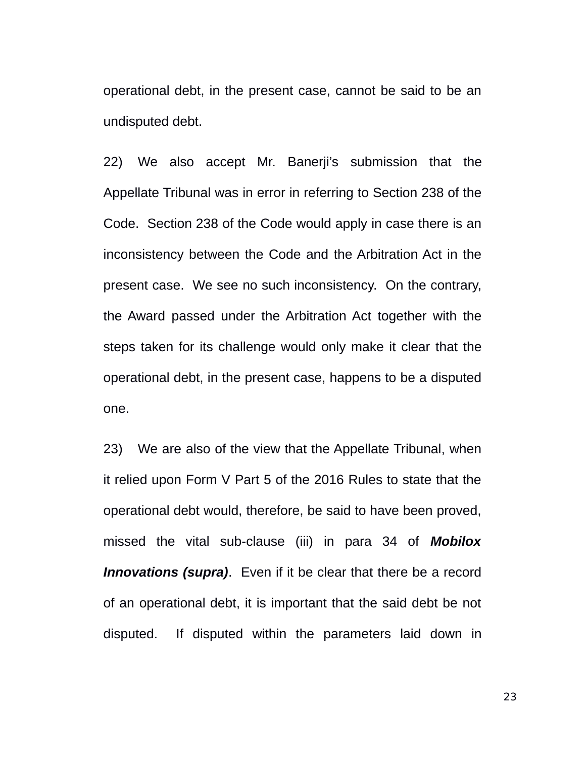operational debt, in the present case, cannot be said to be an undisputed debt.

22) We also accept Mr. Banerji's submission that the Appellate Tribunal was in error in referring to Section 238 of the Code. Section 238 of the Code would apply in case there is an inconsistency between the Code and the Arbitration Act in the present case. We see no such inconsistency. On the contrary, the Award passed under the Arbitration Act together with the steps taken for its challenge would only make it clear that the operational debt, in the present case, happens to be a disputed one.

23) We are also of the view that the Appellate Tribunal, when it relied upon Form V Part 5 of the 2016 Rules to state that the operational debt would, therefore, be said to have been proved, missed the vital sub-clause (iii) in para 34 of *Mobilox Innovations (supra)*. Even if it be clear that there be a record of an operational debt, it is important that the said debt be not disputed. If disputed within the parameters laid down in